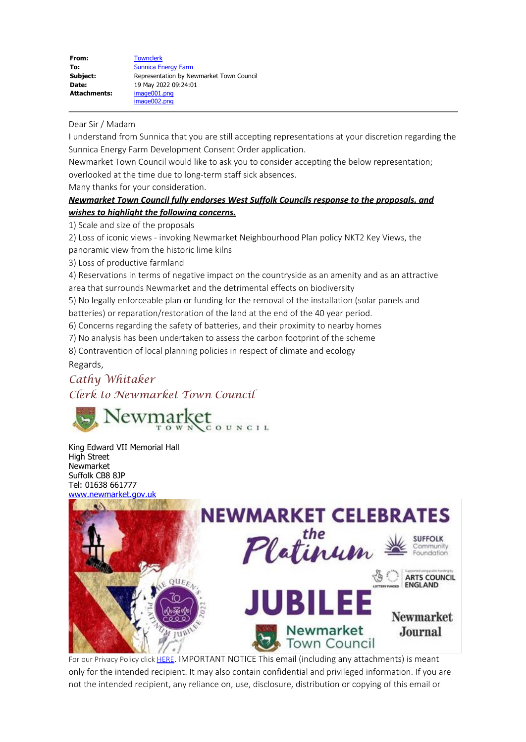## Dear Sir / Madam

I understand from Sunnica that you are still accepting representations at your discretion regarding the Sunnica Energy Farm Development Consent Order application.

Newmarket Town Council would like to ask you to consider accepting the below representation; overlooked at the time due to long-term staff sick absences.

Many thanks for your consideration.

## *Newmarket Town Council fully endorses West Suffolk Councils response to the proposals, and wishes to highlight the following concerns.*

1) Scale and size of the proposals

2) Loss of iconic views - invoking Newmarket Neighbourhood Plan policy NKT2 Key Views, the panoramic view from the historic lime kilns

3) Loss of productive farmland

4) Reservations in terms of negative impact on the countryside as an amenity and as an attractive area that surrounds Newmarket and the detrimental effects on biodiversity

5) No legally enforceable plan or funding for the removal of the installation (solar panels and batteries) or reparation/restoration of the land at the end of the 40 year period.

6) Concerns regarding the safety of batteries, and their proximity to nearby homes

7) No analysis has been undertaken to assess the carbon footprint of the scheme

8) Contravention of local planning policies in respect of climate and ecology

Regards,

## *Cathy Whitaker*

*Clerk to Newmarket Town Council*



King Edward VII Memorial Hall High Street Newmarket Suffolk CB8 8JP Tel: 01638 661777 [www.newmarket.gov.uk](https://gbr01.safelinks.protection.outlook.com/?url=http%3A%2F%2Fwww.newmarket.gov.uk%2F&data=05%7C01%7CSunnica%40planninginspectorate.gov.uk%7Cc33861824f03485c58a208da3970e4b2%7C5878df986f8848ab9322998ce557088d%7C0%7C0%7C637885454409315174%7CUnknown%7CTWFpbGZsb3d8eyJWIjoiMC4wLjAwMDAiLCJQIjoiV2luMzIiLCJBTiI6Ik1haWwiLCJXVCI6Mn0%3D%7C0%7C%7C%7C&sdata=D3BdXc0ySLwRJ4BXXSTxD5wyDn9UsY35mR3BRCiMf2U%3D&reserved=0)



For our Privacy Policy click [HERE](https://gbr01.safelinks.protection.outlook.com/?url=http%3A%2F%2Fwww.newmarket.gov.uk%2Fprivacy-policy-2%2F&data=05%7C01%7CSunnica%40planninginspectorate.gov.uk%7Cc33861824f03485c58a208da3970e4b2%7C5878df986f8848ab9322998ce557088d%7C0%7C0%7C637885454409315174%7CUnknown%7CTWFpbGZsb3d8eyJWIjoiMC4wLjAwMDAiLCJQIjoiV2luMzIiLCJBTiI6Ik1haWwiLCJXVCI6Mn0%3D%7C0%7C%7C%7C&sdata=4R5sSKtCzy%2FNnakkDeHIWpooQisyYvZVf0RHKuJ1F60%3D&reserved=0). IMPORTANT NOTICE This email (including any attachments) is meant only for the intended recipient. It may also contain confidential and privileged information. If you are not the intended recipient, any reliance on, use, disclosure, distribution or copying of this email or